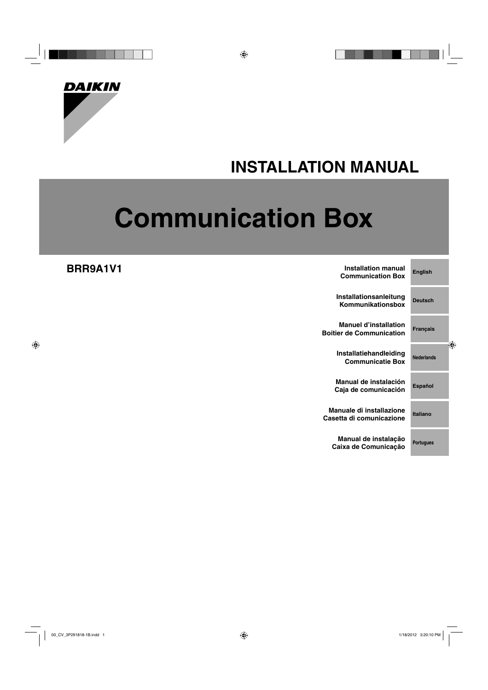

## **INSTALLATION MANUAL**

# **Communication Box**

**BRR9A1V1**

| <b>Installation manual</b><br><b>Communication Box</b>          | <b>English</b>    |
|-----------------------------------------------------------------|-------------------|
| Installationsanleitung<br>Kommunikationsbox                     | <b>Deutsch</b>    |
| <b>Manuel d'installation</b><br><b>Boitier de Communication</b> | <b>Français</b>   |
| Installatiehandleiding<br><b>Communicatie Box</b>               | <b>Nederlands</b> |
| Manual de instalación<br>Caja de comunicación                   | <b>Español</b>    |
| Manuale di installazione<br>Casetta di comunicazione            | Italiano          |
| Manual de instalação<br>Caixa de Comunicação                    | <b>Portugues</b>  |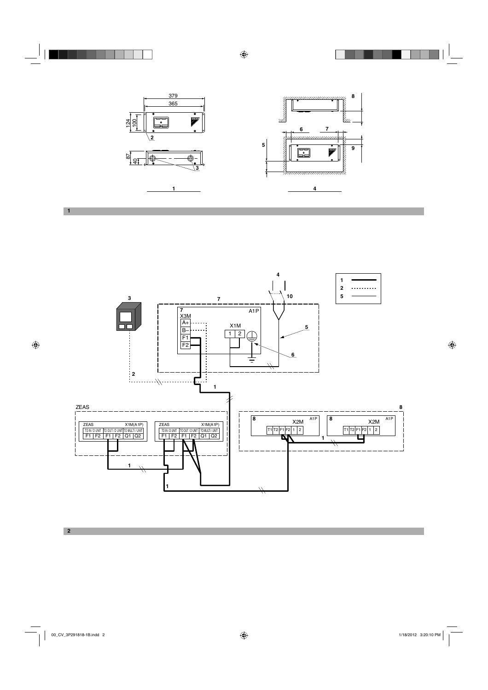

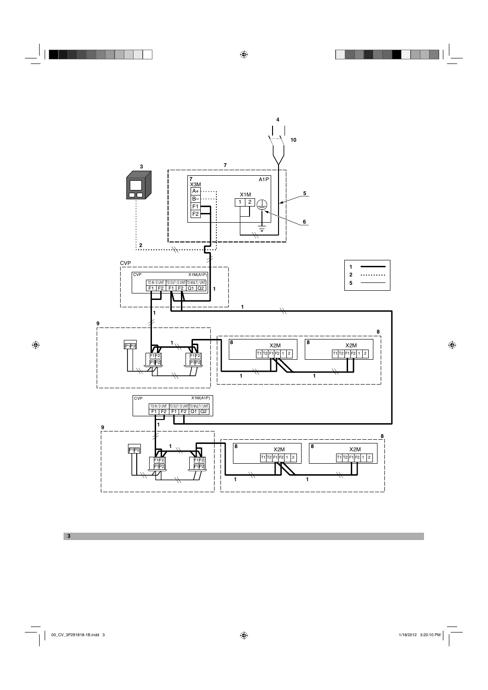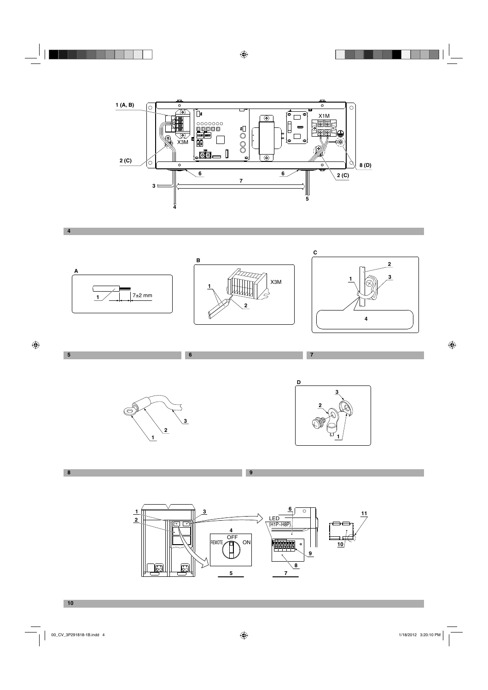















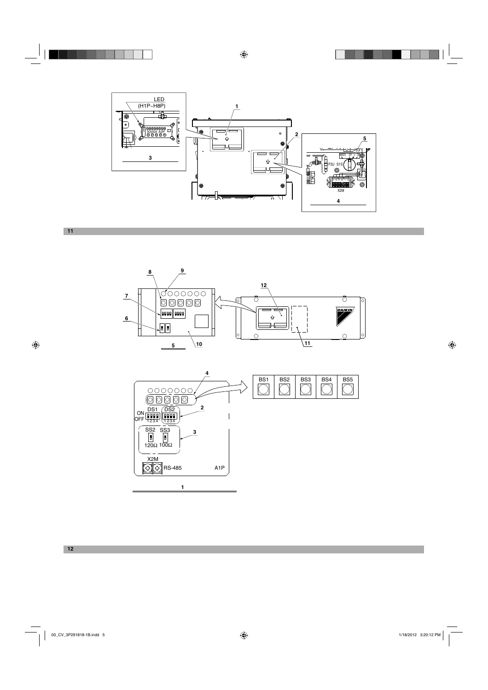







**12**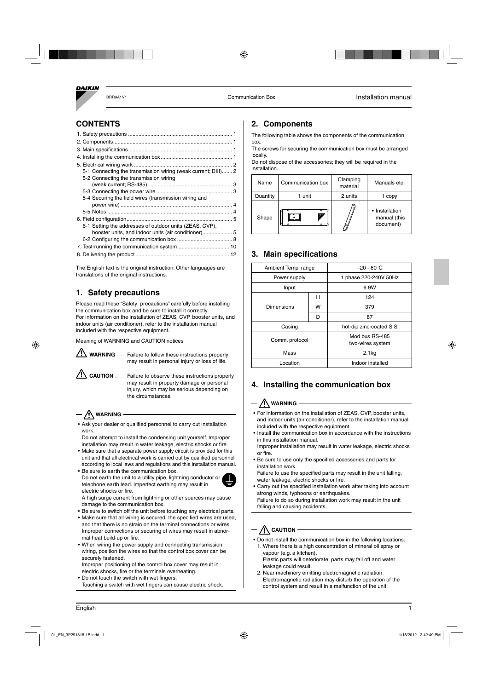

## **CONTENTS**

| 5-1 Connecting the transmission wiring (weak current; DIII) 2 |  |
|---------------------------------------------------------------|--|
| 5-2 Connecting the transmission wiring                        |  |
|                                                               |  |
|                                                               |  |
| 5-4 Securing the field wires (transmission wiring and         |  |
|                                                               |  |
|                                                               |  |
|                                                               |  |
| 6-1 Setting the addresses of outdoor units (ZEAS, CVP),       |  |
| booster units, and indoor units (air conditioner) 5           |  |
|                                                               |  |
|                                                               |  |
|                                                               |  |

The English text is the original instruction. Other languages are translations of the original instructions.

## **1. Safety precautions**

Please read these "Safety precautions" carefully before installing the communication box and be sure to install it correctly. For information on the installation of ZEAS, CVP, booster units, and indoor units (air conditioner), refer to the installation manual included with the respective equipment.

Meaning of WARNING and CAUTION notices



WARNING .... Failure to follow these instructions properly may result in personal injury or loss of life.

**CAUTION** Failure to observe these instructions properly may result in property damage or personal injury, which may be serious depending on the circumstances.

## **WARNING**

electric shocks or fire.

- Ask your dealer or qualified personnel to carry out installation work.
- Do not attempt to install the condensing unit yourself. Improper installation may result in water leakage, electric shocks or fire.
- Make sure that a separate power supply circuit is provided for this unit and that all electrical work is carried out by qualified personnel according to local laws and regulations and this installation manual.
- Be sure to earth the communication box. Do not earth the unit to a utility pipe, lightning conductor or telephone earth lead. Imperfect earthing may result in



A high surge current from lightning or other sources may cause damage to the communication box.

- Be sure to switch off the unit before touching any electrical parts.
- Make sure that all wiring is secured, the specified wires are used, and that there is no strain on the terminal connections or wires. Improper connections or securing of wires may result in abnormal heat build-up or fire.
- When wiring the power supply and connecting transmission wiring, position the wires so that the control box cover can be securely fastened.

Improper positioning of the control box cover may result in electric shocks, fire or the terminals overheating.

• Do not touch the switch with wet fingers. Touching a switch with wet fingers can cause electric shock.

## **2. Components**

The following table shows the components of the communication box.

The screws for securing the communication box must be arranged locally.

Do not dispose of the accessories; they will be required in the installation.

| Name     | Communication box | Clamping<br>material | Manuals etc.                                |  |
|----------|-------------------|----------------------|---------------------------------------------|--|
| Quantity | 1 unit            | 2 units              | 1 copy                                      |  |
| Shape    | DANCH             |                      | • Installation<br>manual (this<br>document) |  |

## **3. Main specifications**

| Ambient Temp. range |   | $-20 - 60^{\circ}$ C               |  |  |  |
|---------------------|---|------------------------------------|--|--|--|
| Power supply        |   | 1 phase 220-240V 50Hz              |  |  |  |
| Input               |   | 6.9W                               |  |  |  |
|                     | н | 124                                |  |  |  |
| Dimensions          | w | 379                                |  |  |  |
|                     | D | 87                                 |  |  |  |
| Casing              |   | hot-dip zinc-coated S S            |  |  |  |
| Comm. protocol      |   | Mod bus RS-485<br>two-wires system |  |  |  |
| Mass                |   | 2.1 <sub>kq</sub>                  |  |  |  |
| Location            |   | Indoor installed                   |  |  |  |

## **4. Installing the communication box**

## $\bigwedge$  warning  $\cdot$

- For information on the installation of ZEAS, CVP, booster units, and indoor units (air conditioner), refer to the installation manual included with the respective equipment.
- Install the communication box in accordance with the instructions in this installation manual. Improper installation may result in water leakage, electric shocks
- or fire. • Be sure to use only the specified accessories and parts for installation work.

Failure to use the specified parts may result in the unit falling, water leakage, electric shocks or fire.

• Carry out the specified installation work after taking into account strong winds, typhoons or earthquakes. Failure to do so during installation work may result in the unit falling and causing accidents.

## $\bigwedge$  caution  $-$

• Do not install the communication box in the following locations: 1. Where there is a high concentration of mineral oil spray or vapour (e.g. a kitchen).

Plastic parts will deteriorate, parts may fall off and water leakage could result.

2. Near machinery emitting electromagnetic radiation. Electromagnetic radiation may disturb the operation of the control system and result in a malfunction of the unit.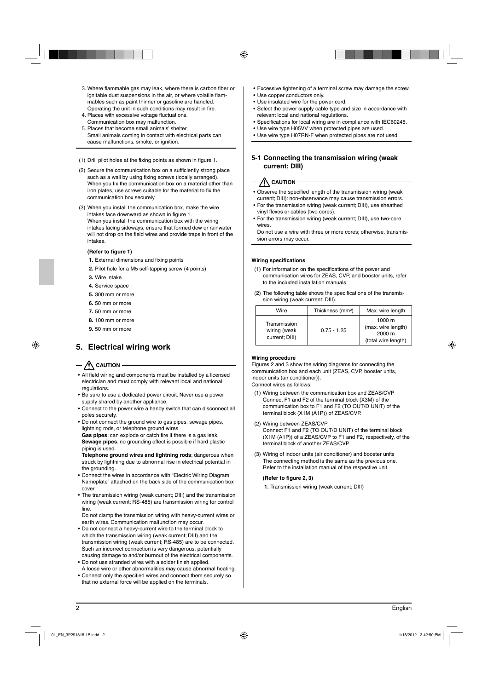- 3. Where flammable gas may leak, where there is carbon fiber or ignitable dust suspensions in the air, or where volatile flammables such as paint thinner or gasoline are handled. Operating the unit in such conditions may result in fire.
- 4. Places with excessive voltage fluctuations. Communication box may malfunction.
- 5. Places that become small animals' shelter. Small animals coming in contact with electrical parts can cause malfunctions, smoke, or ignition.
- $(1)$  Drill pilot holes at the fixing points as shown in figure 1.
- (2) Secure the communication box on a sufficiently strong place such as a wall by using fixing screws (locally arranged). When you fix the communication box on a material other than iron plates, use screws suitable for the material to fix the communication box securely.
- (3) When you install the communication box, make the wire intakes face downward as shown in figure 1. When you install the communication box with the wiring intakes facing sideways, ensure that formed dew or rainwater will not drop on the field wires and provide traps in front of the intakes.

#### (Refer to figure 1)

- **1.** External dimensions and fixing points
- **2.** Pilot hole for a M5 self-tapping screw (4 points)
- **3.** Wire intake
- **4.** Service space
- **5.** 300 mm or more
- **6.** 50 mm or more
- **7.** 50 mm or more
- **8.** 100 mm or more
- **9.** 50 mm or more

## **5. Electrical wiring work**

## $-$  **/!\** caution

- All field wiring and components must be installed by a licensed electrician and must comply with relevant local and national regulations.
- Be sure to use a dedicated power circuit. Never use a power supply shared by another appliance.
- Connect to the power wire a handy switch that can disconnect all poles securely.
- Do not connect the ground wire to gas pipes, sewage pipes, lightning rods, or telephone ground wires.

Gas pipes: can explode or catch fire if there is a gas leak. **Sewage pipes**: no grounding effect is possible if hard plastic piping is used.

**Telephone ground wires and lightning rods**: dangerous when struck by lightning due to abnormal rise in electrical potential in the grounding.

- Connect the wires in accordance with "Electric Wiring Diagram Nameplate" attached on the back side of the communication box cover.
- The transmission wiring (weak current; DIII) and the transmission wiring (weak current; RS-485) are transmission wiring for control line.

Do not clamp the transmission wiring with heavy-current wires or earth wires. Communication malfunction may occur.

- Do not connect a heavy-current wire to the terminal block to which the transmission wiring (weak current; DIII) and the transmission wiring (weak current; RS-485) are to be connected. Such an incorrect connection is very dangerous, potentially causing damage to and/or burnout of the electrical components.
- Do not use stranded wires with a solder finish applied. A loose wire or other abnormalities may cause abnormal heating.
- Connect only the specified wires and connect them securely so that no external force will be applied on the terminals.
- Excessive tightening of a terminal screw may damage the screw.
- Use copper conductors only.
- Use insulated wire for the power cord.
- Select the power supply cable type and size in accordance with relevant local and national regulations.
- Specifications for local wiring are in compliance with IEC60245.
- Use wire type H05VV when protected pipes are used.
- Use wire type H07RN-F when protected pipes are not used.

#### **5-1 Connecting the transmission wiring (weak current; DIII)**

## $-\bigwedge$  caution

- Observe the specified length of the transmission wiring (weak current; DIII): non-observance may cause transmission errors.
- For the transmission wiring (weak current; DIII), use sheathed vinyl flexes or cables (two cores).
- For the transmission wiring (weak current; DIII), use two-core wires.

Do not use a wire with three or more cores; otherwise, transmission errors may occur.

#### **Wiring specifications**

- (1) For information on the specifications of the power and communication wires for ZEAS, CVP, and booster units, refer to the included installation manuals.
- (2) The following table shows the specifications of the transmission wiring (weak current; DIII).

| Wire                                           | Thickness (mm <sup>2</sup> ) | Max. wire length                                              |
|------------------------------------------------|------------------------------|---------------------------------------------------------------|
| Transmission<br>wiring (weak<br>current; DIII) | $0.75 - 1.25$                | 1000 m<br>(max. wire length)<br>2000 m<br>(total wire length) |

#### **Wiring procedure**

Figures 2 and 3 show the wiring diagrams for connecting the communication box and each unit (ZEAS, CVP, booster units, indoor units (air conditioner)).

Connect wires as follows:

- (1) Wiring between the communication box and ZEAS/CVP Connect F1 and F2 of the terminal block (X3M) of the communication box to F1 and F2 (TO OUT/D UNIT) of the terminal block (X1M (A1P)) of ZEAS/CVP.
- (2) Wiring between ZEAS/CVP Connect F1 and F2 (TO OUT/D UNIT) of the terminal block (X1M (A1P)) of a ZEAS/CVP to F1 and F2, respectively, of the terminal block of another ZEAS/CVP.
- (3) Wiring of indoor units (air conditioner) and booster units The connecting method is the same as the previous one. Refer to the installation manual of the respective unit.

#### **(Refer to figure 2, 3)**

**1.** Transmission wiring (weak current; DIII)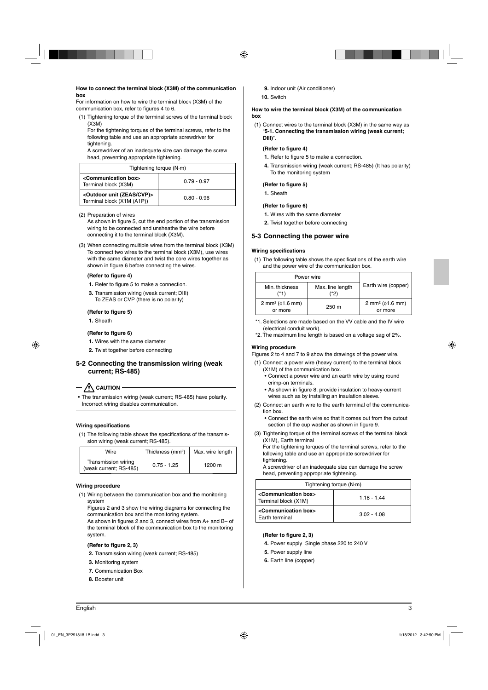#### **How to connect the terminal block (X3M) of the communication box**

For information on how to wire the terminal block (X3M) of the communication box, refer to figures 4 to 6.

(1) Tightening torque of the terminal screws of the terminal block (X3M)

For the tightening torques of the terminal screws, refer to the following table and use an appropriate screwdriver for tightening.

A screwdriver of an inadequate size can damage the screw head, preventing appropriate tightening.

| Tightening torque (N·m)                                                     |               |  |  |  |  |
|-----------------------------------------------------------------------------|---------------|--|--|--|--|
| <communication box=""><br/>Terminal block (X3M)</communication>             | $0.79 - 0.97$ |  |  |  |  |
| <outdoor (zeas="" cvp)="" unit=""><br/>Terminal block (X1M (A1P))</outdoor> | $0.80 - 0.96$ |  |  |  |  |

(2) Preparation of wires

As shown in figure 5, cut the end portion of the transmission wiring to be connected and unsheathe the wire before connecting it to the terminal block (X3M).

(3) When connecting multiple wires from the terminal block (X3M) To connect two wires to the terminal block (X3M), use wires with the same diameter and twist the core wires together as shown in figure 6 before connecting the wires.

#### **(Refer to figure 4)**

- **1.** Refer to figure 5 to make a connection.
- **3.** Transmission wiring (weak current; DIII) To ZEAS or CVP (there is no polarity)

#### **(Refer to figure 5)**

**1.** Sheath

#### **(Refer to figure 6)**

**1.** Wires with the same diameter

**2.** Twist together before connecting

#### **5-2 Connecting the transmission wiring (weak current; RS-485)**

## $\cdot$   $\bigwedge$  CAUTION

The transmission wiring (weak current; RS-485) have polarity. Incorrect wiring disables communication.

#### **Wiring specifications**

(1) The following table shows the specifications of the transmission wiring (weak current; RS-485).

| Wire                                          | Thickness (mm <sup>2</sup> ) | Max. wire length |
|-----------------------------------------------|------------------------------|------------------|
| Transmission wiring<br>(weak current; RS-485) | $0.75 - 1.25$                | 1200 m           |

#### **Wiring procedure**

(1) Wiring between the communication box and the monitoring system

Figures 2 and 3 show the wiring diagrams for connecting the communication box and the monitoring system.

As shown in figures 2 and 3, connect wires from  $A<sub>+</sub>$  and  $B<sub>-</sub>$  of the terminal block of the communication box to the monitoring system.

#### (Refer to figure 2, 3)

- **2.** Transmission wiring (weak current; RS-485)
- **3.** Monitoring system
- **7.** Communication Box
- **8.** Booster unit
- **9.** Indoor unit (Air conditioner)
- **10.** Switch

#### **How to wire the terminal block (X3M) of the communication box**

(1) Connect wires to the terminal block (X3M) in the same way as "**5-1. Connecting the transmission wiring (weak current; DIII)**".

#### **(Refer to figure 4)**

- **1.** Refer to figure 5 to make a connection.
- **4.** Transmission wiring (weak current; RS-485) (It has polarity) To the monitoring system

#### (Refer to figure 5)

**1.** Sheath

#### (Refer to figure 6)

- **1.** Wires with the same diameter
- **2.** Twist together before connecting

#### **5-3 Connecting the power wire**

#### **Wiring specifications**

(1) The following table shows the specifications of the earth wire and the power wire of the communication box.

| Power wire                                    |                          |                                               |
|-----------------------------------------------|--------------------------|-----------------------------------------------|
| Min. thickness<br>(*1)                        | Max. line length<br>(*2) | Earth wire (copper)                           |
| 2 mm <sup>2</sup> ( $\phi$ 1.6 mm)<br>or more | 250 m                    | 2 mm <sup>2</sup> ( $\phi$ 1.6 mm)<br>or more |

\*1. Selections are made based on the VV cable and the IV wire (electrical conduit work).

\*2. The maximum line length is based on a voltage sag of 2%.

#### **Wiring procedure**

Figures 2 to 4 and 7 to 9 show the drawings of the power wire.

- (1) Connect a power wire (heavy current) to the terminal block (X1M) of the communication box.
	- Connect a power wire and an earth wire by using round crimp-on terminals.
	- As shown in figure 8, provide insulation to heavy-current wires such as by installing an insulation sleeve.
- (2) Connect an earth wire to the earth terminal of the communication box.
	- Connect the earth wire so that it comes out from the cutout section of the cup washer as shown in figure 9.
- (3) Tightening torque of the terminal screws of the terminal block (X1M), Earth terminal

For the tightening torques of the terminal screws, refer to the following table and use an appropriate screwdriver for tightening.

A screwdriver of an inadequate size can damage the screw head, preventing appropriate tightening.

| Tightening torque $(N \cdot m)$                                 |               |  |  |  |  |
|-----------------------------------------------------------------|---------------|--|--|--|--|
| <communication box=""><br/>Terminal block (X1M)</communication> | $1.18 - 1.44$ |  |  |  |  |
| <communication box=""><br/>Earth terminal</communication>       | $3.02 - 4.08$ |  |  |  |  |

#### (Refer to figure 2, 3)

- **4.** Power supply Single phase 220 to 240 V
- **5.** Power supply line
- **6.** Earth line (copper)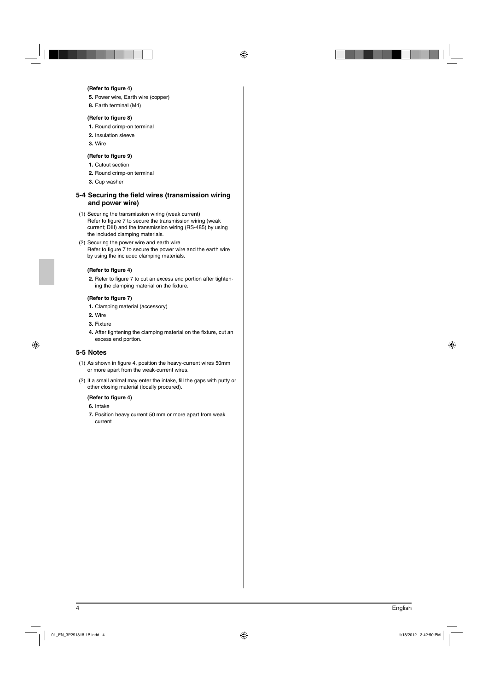#### **(Refer to figure 4)**

**5.** Power wire, Earth wire (copper)

**8.** Earth terminal (M4)

#### **(Refer to figure 8)**

- **1.** Round crimp-on terminal
- **2.** Insulation sleeve
- **3.** Wire

#### **(Refer to figure 9)**

- **1.** Cutout section
- **2.** Round crimp-on terminal
- **3.** Cup washer

#### **5-4 Securing the field wires (transmission wiring and power wire)**

- (1) Securing the transmission wiring (weak current) Refer to figure 7 to secure the transmission wiring (weak current; DIII) and the transmission wiring (RS-485) by using the included clamping materials.
- (2) Securing the power wire and earth wire Refer to figure 7 to secure the power wire and the earth wire by using the included clamping materials.

#### **(Refer to figure 4)**

2. Refer to figure 7 to cut an excess end portion after tightening the clamping material on the fixture.

#### **(Refer to figure 7)**

- **1.** Clamping material (accessory)
- **2.** Wire
- **3.** Fixture
- 4. After tightening the clamping material on the fixture, cut an excess end portion.

#### **5-5 Notes**

- (1) As shown in figure 4, position the heavy-current wires 50mm or more apart from the weak-current wires.
- (2) If a small animal may enter the intake, fill the gaps with putty or other closing material (locally procured).

#### **(Refer to figure 4)**

- **6.** Intake
- **7.** Position heavy current 50 mm or more apart from weak current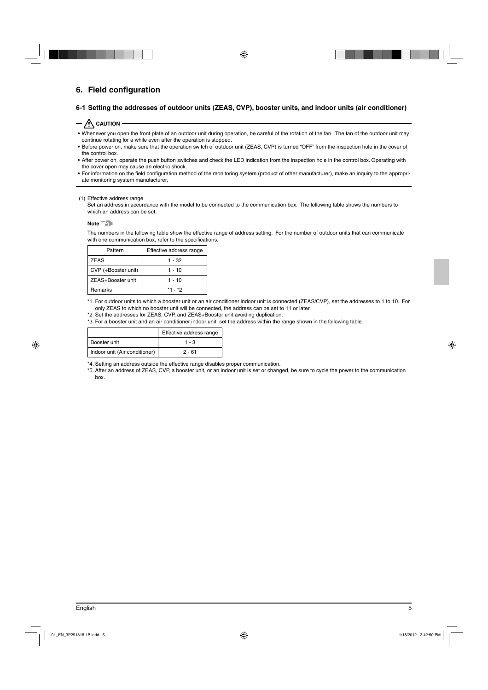## **6. Field configuration**

#### **6-1 Setting the addresses of outdoor units (ZEAS, CVP), booster units, and indoor units (air conditioner)**

#### $-\sqrt{N}$  Caution

- Whenever you open the front plate of an outdoor unit during operation, be careful of the rotation of the fan. The fan of the outdoor unit may continue rotating for a while even after the operation is stopped.
- Before power on, make sure that the operation switch of outdoor unit (ZEAS, CVP) is turned "OFF" from the inspection hole in the cover of the control box.
- After power on, operate the push button switches and check the LED indication from the inspection hole in the control box. Operating with the cover open may cause an electric shock.
- For information on the field configuration method of the monitoring system (product of other manufacturer), make an inquiry to the appropriate monitoring system manufacturer.

#### (1) Effective address range

Set an address in accordance with the model to be connected to the communication box. The following table shows the numbers to which an address can be set.

#### Note<sup>-D</sup>

The numbers in the following table show the effective range of address setting. For the number of outdoor units that can communicate with one communication box, refer to the specifications.

| Pattern             | Effective address range |
|---------------------|-------------------------|
| <b>ZEAS</b>         | 1 - 32                  |
| CVP (+Booster unit) | $1 - 10$                |
| ZEAS+Booster unit   | $1 - 10$                |
| Remarks             | *1.*2                   |

\*1. For outdoor units to which a booster unit or an air conditioner indoor unit is connected (ZEAS/CVP), set the addresses to 1 to 10. For only ZEAS to which no booster unit will be connected, the address can be set to 11 or later.

\*2. Set the addresses for ZEAS, CVP, and ZEAS+Booster unit avoiding duplication.

\*3. For a booster unit and an air conditioner indoor unit, set the address within the range shown in the following table.

|                               | Effective address range |  |  |  |
|-------------------------------|-------------------------|--|--|--|
| Booster unit                  | $1 - 3$                 |  |  |  |
| Indoor unit (Air conditioner) | $2 - 61$                |  |  |  |

\*4. Setting an address outside the effective range disables proper communication.

\*5. After an address of ZEAS, CVP, a booster unit, or an indoor unit is set or changed, be sure to cycle the power to the communication box.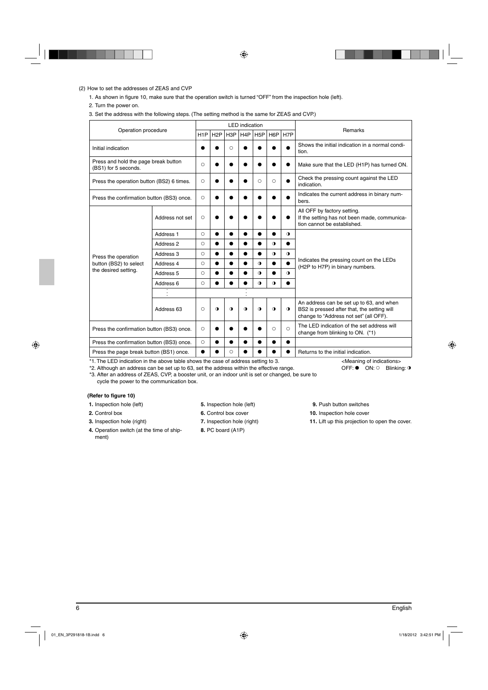#### (2) How to set the addresses of ZEAS and CVP

1. As shown in figure 10, make sure that the operation switch is turned "OFF" from the inspection hole (left).

2. Turn the power on.

#### 3. Set the address with the following steps. (The setting method is the same for ZEAS and CVP.)

| Operation procedure                                          |                      | <b>LED</b> indication |                  |                  |                  |                  |                  |           | Remarks                                                                                                                           |
|--------------------------------------------------------------|----------------------|-----------------------|------------------|------------------|------------------|------------------|------------------|-----------|-----------------------------------------------------------------------------------------------------------------------------------|
|                                                              |                      | H <sub>1</sub> P      | H <sub>2</sub> P | H <sub>3</sub> P | H <sub>4</sub> P | H <sub>5</sub> P | H <sub>6</sub> P | H7P       |                                                                                                                                   |
| Initial indication                                           |                      |                       |                  | $\circ$          |                  |                  |                  |           | Shows the initial indication in a normal condi-<br>tion.                                                                          |
| Press and hold the page break button<br>(BS1) for 5 seconds. |                      | $\circ$               |                  |                  |                  |                  |                  |           | Make sure that the LED (H1P) has turned ON.                                                                                       |
| Press the operation button (BS2) 6 times.                    |                      | $\circ$               |                  |                  |                  | Ω                | $\circ$          |           | Check the pressing count against the LED<br>indication.                                                                           |
| Press the confirmation button (BS3) once.                    |                      | $\circ$               |                  |                  | ●                |                  |                  |           | Indicates the current address in binary num-<br>bers.                                                                             |
|                                                              | Address not set      | $\circ$               |                  |                  |                  |                  |                  |           | All OFF by factory setting.<br>If the setting has not been made, communica-<br>tion cannot be established.                        |
|                                                              | Address <sub>1</sub> | $\circ$               |                  |                  |                  |                  |                  | $\bullet$ |                                                                                                                                   |
|                                                              | Address 2            | О                     |                  |                  |                  |                  | O                |           |                                                                                                                                   |
| Press the operation                                          | Address 3            | О                     |                  | ●                | $\bullet$        |                  | O                | $\bullet$ |                                                                                                                                   |
| button (BS2) to select                                       | Address 4            | $\circ$               |                  | $\bullet$        | $\bullet$        | $\bullet$        |                  | $\bullet$ | Indicates the pressing count on the LEDs<br>(H2P to H7P) in binary numbers.                                                       |
| the desired setting.                                         | Address 5            | $\circlearrowright$   |                  |                  | $\bullet$        | $\bullet$        |                  | $\bullet$ |                                                                                                                                   |
|                                                              | Address 6            | $\circ$               |                  |                  |                  | $\bullet$        | $\bullet$        |           |                                                                                                                                   |
|                                                              |                      |                       |                  |                  |                  |                  |                  |           |                                                                                                                                   |
|                                                              | Address 63           | $\circ$               | $\bullet$        | $\bullet$        | $\bullet$        | $\bullet$        | $\bullet$        | $\bullet$ | An address can be set up to 63, and when<br>BS2 is pressed after that, the setting will<br>change to "Address not set" (all OFF). |
| Press the confirmation button (BS3) once.                    |                      | $\circ$               |                  |                  |                  |                  | Ω                | $\circ$   | The LED indication of the set address will<br>change from blinking to ON. (*1)                                                    |
| Press the confirmation button (BS3) once.                    |                      | $\circ$               |                  |                  |                  |                  |                  |           |                                                                                                                                   |
| Press the page break button (BS1) once.                      |                      |                       |                  | O                |                  |                  |                  |           | Returns to the initial indication.                                                                                                |

\*1. The LED indication in the above table shows the case of address setting to 3.

\*2. Although an address can be set up to 63, set the address within the effective range.

\*3. After an address of ZEAS, CVP, a booster unit, or an indoor unit is set or changed, be sure to cycle the power to the communication box.

#### **(Refer to figure 10)**

- **1.** Inspection hole (left)
- **2.** Control box
- **3.** Inspection hole (right)
- **4.** Operation switch (at the time of shipment)
- **5.** Inspection hole (left)
- **6.** Control box cover
- **7.** Inspection hole (right)
- **8.** PC board (A1P)
- **9.** Push button switches
- **10.** Inspection hole cover
- **11.** Lift up this projection to open the cover.

<Meaning of indications>  $OFF: \bullet$  ON:  $\circ$  Blinking: **o**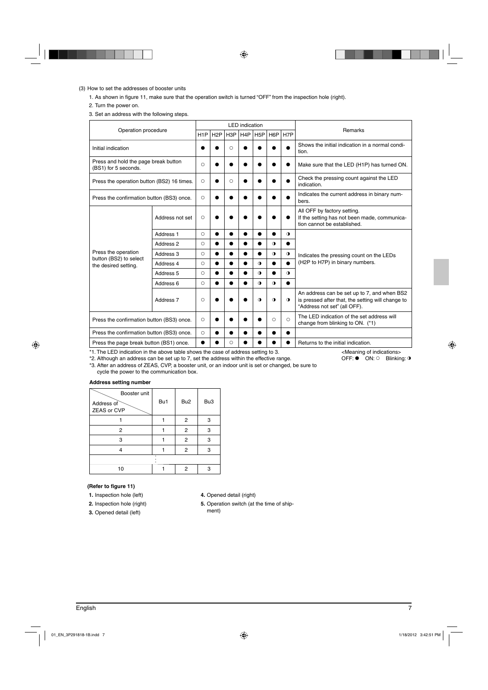#### (3) How to set the addresses of booster units

1. As shown in figure 11, make sure that the operation switch is turned "OFF" from the inspection hole (right).

2. Turn the power on.

3. Set an address with the following steps.

| Operation procedure                                          |                      |                  |     |                  | <b>LED</b> indication |                  |            |                  | <b>Remarks</b>                                                                                                                   |
|--------------------------------------------------------------|----------------------|------------------|-----|------------------|-----------------------|------------------|------------|------------------|----------------------------------------------------------------------------------------------------------------------------------|
|                                                              |                      | H <sub>1</sub> P | H2P | H <sub>3</sub> P | H <sub>4</sub> P      | H <sub>5</sub> P | H6P        | H <sub>7</sub> P |                                                                                                                                  |
| Initial indication                                           |                      |                  |     | $\circ$          |                       |                  |            |                  | Shows the initial indication in a normal condi-<br>tion.                                                                         |
| Press and hold the page break button<br>(BS1) for 5 seconds. |                      | $\circ$          |     |                  |                       |                  |            | $\bullet$        | Make sure that the LED (H1P) has turned ON.                                                                                      |
| Press the operation button (BS2) 16 times.                   |                      | $\circ$          |     | O                |                       |                  |            |                  | Check the pressing count against the LED<br>indication.                                                                          |
| Press the confirmation button (BS3) once.                    |                      | $\circ$          |     |                  |                       |                  |            |                  | Indicates the current address in binary num-<br>bers.                                                                            |
|                                                              | Address not set      | $\circ$          |     |                  |                       |                  |            |                  | All OFF by factory setting.<br>If the setting has not been made, communica-<br>tion cannot be established.                       |
|                                                              | Address <sub>1</sub> | $\circ$          |     |                  |                       |                  |            | $\bullet$        |                                                                                                                                  |
|                                                              | Address 2            | $\circ$          |     |                  |                       |                  | $\bullet$  | ●                |                                                                                                                                  |
| Press the operation<br>button (BS2) to select                | Address 3            | $\circ$          |     |                  | ●                     | ●                | $\bullet$  | $\bullet$        | Indicates the pressing count on the LEDs                                                                                         |
| the desired setting.                                         | Address 4            | $\circ$          |     |                  | $\bullet$             | $\bullet$        |            | $\bullet$        | (H2P to H7P) in binary numbers.                                                                                                  |
|                                                              | Address 5            | $\circ$          |     |                  | $\bullet$             | $\bullet$        |            | $\bullet$        |                                                                                                                                  |
|                                                              | Address 6            | $\circ$          |     |                  |                       | $\bullet$        | $\bullet$  | $\bullet$        |                                                                                                                                  |
|                                                              | Address <sub>7</sub> | $\circ$          |     |                  |                       | $\bullet$        | $\Omega$   | $\bullet$        | An address can be set up to 7, and when BS2<br>is pressed after that, the setting will change to<br>"Address not set" (all OFF). |
| Press the confirmation button (BS3) once.                    |                      | $\circ$          |     |                  |                       |                  | $\bigcirc$ | $\bigcirc$       | The LED indication of the set address will<br>change from blinking to ON. (*1)                                                   |
| Press the confirmation button (BS3) once.                    |                      | $\circ$          |     |                  |                       |                  |            | ●                |                                                                                                                                  |
| Press the page break button (BS1) once.                      |                      | $\bullet$        |     | $\circ$          |                       |                  |            |                  | Returns to the initial indication.                                                                                               |

\*1. The LED indication in the above table shows the case of address setting to 3.

\*2. Although an address can be set up to 7, set the address within the effective range.

<Meaning of indications> OFF:  $\bullet$  ON:  $\circ$  Blinking: 0

\*3. After an address of ZEAS, CVP, a booster unit, or an indoor unit is set or changed, be sure to cycle the power to the communication box.

#### **Address setting number**

| Booster unit<br>Address of<br>ZEAS or CVP | Bu1 | Bu <sub>2</sub> | Bu <sub>3</sub> |
|-------------------------------------------|-----|-----------------|-----------------|
|                                           |     | $\overline{c}$  | 3               |
| 2                                         |     | $\overline{2}$  | 3               |
| 3                                         |     | $\overline{2}$  | 3               |
|                                           |     | 2               | 3               |
|                                           |     |                 |                 |
| 10                                        |     | 2               |                 |

#### (Refer to figure 11)

- **1.** Inspection hole (left)
- **2.** Inspection hole (right)

**3.** Opened detail (left)

- **4.** Opened detail (right)
- **5.** Operation switch (at the time of ship
	- ment)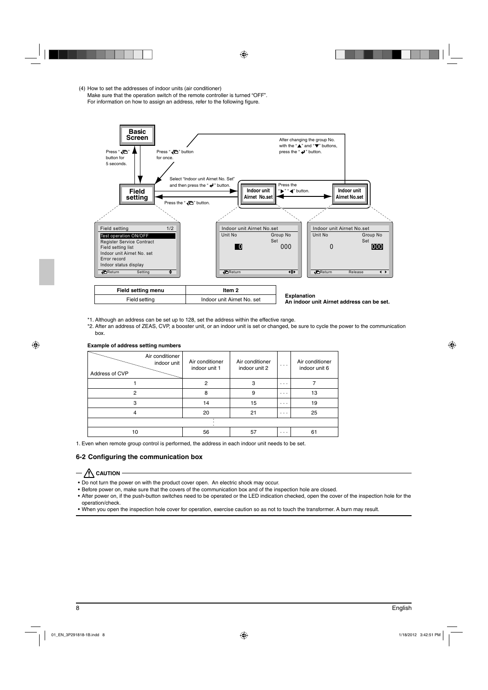(4) How to set the addresses of indoor units (air conditioner) Make sure that the operation switch of the remote controller is turned "OFF". For information on how to assign an address, refer to the following figure.



- \*1. Although an address can be set up to 128, set the address within the effective range.
- \*2. After an address of ZEAS, CVP, a booster unit, or an indoor unit is set or changed, be sure to cycle the power to the communication box.

| <b>Example of address setting numbers</b> |  |  |  |
|-------------------------------------------|--|--|--|
|-------------------------------------------|--|--|--|

| Air conditioner<br>indoor unit<br>Address of CVP | Air conditioner<br>indoor unit 1 | Air conditioner<br>indoor unit 2 | $\cdot$ $\cdot$ $\cdot$ | Air conditioner<br>indoor unit 6 |
|--------------------------------------------------|----------------------------------|----------------------------------|-------------------------|----------------------------------|
|                                                  | 2                                | з                                | $\cdots$                |                                  |
| 2                                                | 8                                | 9                                | $\cdots$                | 13                               |
| 3                                                | 14                               | 15                               | $\cdots$                | 19                               |
| 4                                                | 20                               | 21                               | $\cdots$                | 25                               |
|                                                  |                                  |                                  |                         |                                  |
| 10                                               | 56                               | 57                               | $\cdots$                | 61                               |

1. Even when remote group control is performed, the address in each indoor unit needs to be set.

#### **6-2 Configuring the communication box**

#### $-\bigwedge$  caution -

- Do not turn the power on with the product cover open. An electric shock may occur.
- Before power on, make sure that the covers of the communication box and of the inspection hole are closed.
- After power on, if the push-button switches need to be operated or the LED indication checked, open the cover of the inspection hole for the operation/check.
- When you open the inspection hole cover for operation, exercise caution so as not to touch the transformer. A burn may result.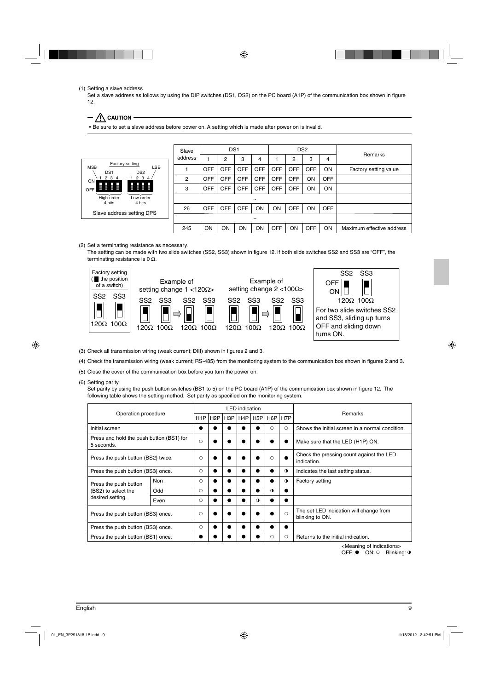(1) Setting a slave address

Set a slave address as follows by using the DIP switches (DS1, DS2) on the PC board (A1P) of the communication box shown in figure 12.

 $-\bigwedge$  Caution

• Be sure to set a slave address before power on. A setting which is made after power on is invalid.



(2) Set a terminating resistance as necessary.

The setting can be made with two slide switches (SS2, SS3) shown in figure 12. If both slide switches SS2 and SS3 are "OFF", the terminating resistance is 0  $Ω$ .



(3) Check all transmission wiring (weak current; DIII) shown in figures 2 and 3.

- (4) Check the transmission wiring (weak current; RS-485) from the monitoring system to the communication box shown in figures 2 and 3.
- (5) Close the cover of the communication box before you turn the power on.

(6) Setting parity

Set parity by using the push button switches (BS1 to 5) on the PC board (A1P) of the communication box shown in figure 12. The following table shows the setting method. Set parity as specified on the monitoring system.

| Operation procedure                                    |            |         |                  |                  | <b>LED</b> indication |                  |                  |                  |                                                            |
|--------------------------------------------------------|------------|---------|------------------|------------------|-----------------------|------------------|------------------|------------------|------------------------------------------------------------|
|                                                        |            | H1P     | H <sub>2</sub> P | H <sub>3</sub> P | H4P                   | H <sub>5</sub> P | H <sub>6</sub> P | H <sub>7</sub> P | <b>Remarks</b>                                             |
| Initial screen                                         |            |         |                  |                  |                       |                  | Ω                | O                | Shows the initial screen in a normal condition.            |
| Press and hold the push button (BS1) for<br>5 seconds. |            | $\circ$ |                  |                  |                       |                  |                  |                  | Make sure that the LED (H1P) ON.                           |
| Press the push button (BS2) twice.                     |            | $\circ$ |                  |                  |                       |                  | $\circ$          |                  | Check the pressing count against the LED<br>indication.    |
| Press the push button (BS3) once.                      |            | $\circ$ | $\bullet$        |                  |                       |                  |                  | $\bullet$        | Indicates the last setting status.                         |
| Press the push button                                  | <b>Non</b> | $\circ$ |                  |                  |                       |                  |                  | $\bullet$        | <b>Factory setting</b>                                     |
| (BS2) to select the                                    | Odd        | ◯       |                  |                  |                       |                  | $\bullet$        |                  |                                                            |
| desired setting.                                       | Even       | $\circ$ |                  |                  |                       | $\bullet$        |                  |                  |                                                            |
| Press the push button (BS3) once.                      |            | $\circ$ |                  |                  |                       |                  |                  | $\bigcirc$       | The set LED indication will change from<br>blinking to ON. |
| Press the push button (BS3) once.                      |            | $\circ$ |                  |                  |                       |                  |                  |                  |                                                            |
| Press the push button (BS1) once.                      |            |         |                  |                  |                       |                  | Ω                | O                | Returns to the initial indication.                         |

<Meaning of indications>

OFF:  $\bullet$  ON:  $\circ$  Blinking: **0**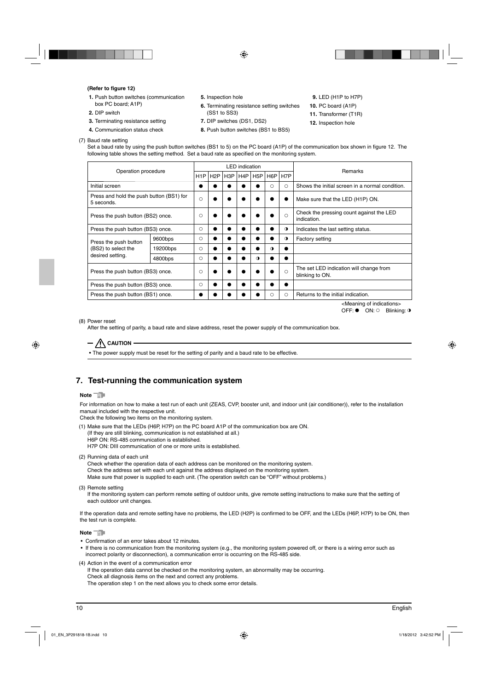#### **(Refer to figure 12)**

- **1.** Push button switches (communication box PC board; A1P)
- **2.** DIP switch
- **3.** Terminating resistance setting
- **4.** Communication status check
- **5.** Inspection hole
- **6.** Terminating resistance setting switches (SS1 to SS3)
- **7.** DIP switches (DS1, DS2)
- **8.** Push button switches (BS1 to BS5)
- **9.** LED (H1P to H7P)
- **10.** PC board (A1P)
- **11.** Transformer (T1R)
- **12.** Inspection hole
- (7) Baud rate setting Set a baud rate by using the push button switches (BS1 to 5) on the PC board (A1P) of the communication box shown in figure 12. The following table shows the setting method. Set a baud rate as specified on the monitoring system.

| Operation procedure                                    |          |         |     |     | <b>LED</b> indication |                  |                  |            | Remarks                                                    |
|--------------------------------------------------------|----------|---------|-----|-----|-----------------------|------------------|------------------|------------|------------------------------------------------------------|
|                                                        |          | H1P     | H2P | H3P | H4P                   | H <sub>5</sub> P | H <sub>6</sub> P | H7P        |                                                            |
| Initial screen                                         |          |         |     |     |                       |                  | О                | $\circ$    | Shows the initial screen in a normal condition.            |
| Press and hold the push button (BS1) for<br>5 seconds. |          | $\circ$ |     |     |                       |                  |                  |            | Make sure that the LED (H1P) ON.                           |
| Press the push button (BS2) once.                      |          | O       |     |     |                       |                  | ●                | $\bigcirc$ | Check the pressing count against the LED<br>indication.    |
| Press the push button (BS3) once.                      |          | $\circ$ |     |     |                       |                  | ●                | $\bullet$  | Indicates the last setting status.                         |
| Press the push button                                  | 9600bps  | $\circ$ |     |     |                       |                  |                  | $\bullet$  | <b>Factory setting</b>                                     |
| (BS2) to select the                                    | 19200bps | Ω       |     |     |                       |                  | $\bullet$        |            |                                                            |
| desired setting.                                       | 4800bps  | $\circ$ |     |     |                       | $\bullet$        |                  |            |                                                            |
| Press the push button (BS3) once.                      |          | O       |     |     |                       |                  |                  | $\bigcirc$ | The set LED indication will change from<br>blinking to ON. |
| Press the push button (BS3) once.                      |          | O       |     |     |                       |                  |                  |            |                                                            |
| Press the push button (BS1) once.                      |          |         |     |     |                       |                  | О                | ∩          | Returns to the initial indication.                         |

<Meaning of indications>  $OFF:$  ON:  $\circ$  Blinking:  $\circ$ 

(8) Power reset

After the setting of parity, a baud rate and slave address, reset the power supply of the communication box.

 $/$  Caution

• The power supply must be reset for the setting of parity and a baud rate to be effective.

## **7. Test-running the communication system**

#### **Note**<sup>-</sub></sup>

For information on how to make a test run of each unit (ZEAS, CVP, booster unit, and indoor unit (air conditioner)), refer to the installation manual included with the respective unit.

Check the following two items on the monitoring system.

- (1) Make sure that the LEDs (H6P, H7P) on the PC board A1P of the communication box are ON. (If they are still blinking, communication is not established at all.) H6P ON: RS-485 communication is established. H7P ON: DIII communication of one or more units is established.
- (2) Running data of each unit

Check whether the operation data of each address can be monitored on the monitoring system. Check the address set with each unit against the address displayed on the monitoring system. Make sure that power is supplied to each unit. (The operation switch can be "OFF" without problems.)

If the monitoring system can perform remote setting of outdoor units, give remote setting instructions to make sure that the setting of each outdoor unit changes.

If the operation data and remote setting have no problems, the LED (H2P) is confirmed to be OFF, and the LEDs (H6P, H7P) to be ON, then the test run is complete.

**Note** 

- Confirmation of an error takes about 12 minutes.
- If there is no communication from the monitoring system (e.g., the monitoring system powered off, or there is a wiring error such as incorrect polarity or disconnection), a communication error is occurring on the RS-485 side.
- (4) Action in the event of a communication error

If the operation data cannot be checked on the monitoring system, an abnormality may be occurring. Check all diagnosis items on the next and correct any problems. The operation step 1 on the next allows you to check some error details.

<sup>(3)</sup> Remote setting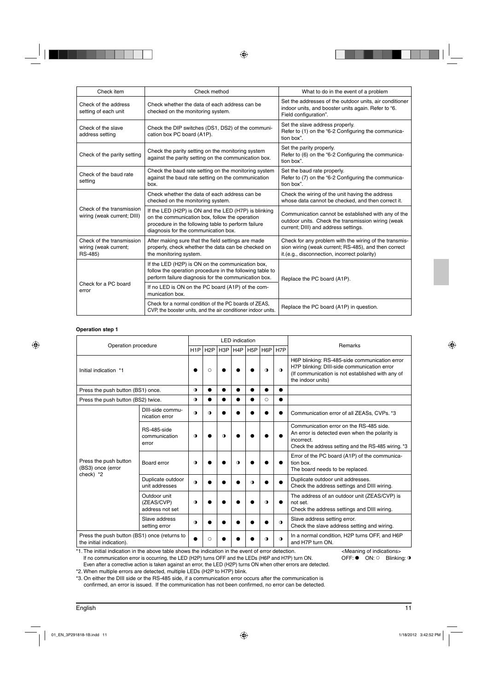| Check item                                                    | Check method                                                                                                                                                                                          | What to do in the event of a problem                                                                                                                           |
|---------------------------------------------------------------|-------------------------------------------------------------------------------------------------------------------------------------------------------------------------------------------------------|----------------------------------------------------------------------------------------------------------------------------------------------------------------|
| Check of the address<br>setting of each unit                  | Check whether the data of each address can be<br>checked on the monitoring system.                                                                                                                    | Set the addresses of the outdoor units, air conditioner<br>indoor units, and booster units again. Refer to "6.<br>Field configuration".                        |
| Check of the slave<br>address setting                         | Check the DIP switches (DS1, DS2) of the communi-<br>cation box PC board (A1P).                                                                                                                       | Set the slave address properly.<br>Refer to (1) on the "6-2 Configuring the communica-<br>tion box".                                                           |
| Check of the parity setting                                   | Check the parity setting on the monitoring system<br>against the parity setting on the communication box.                                                                                             | Set the parity properly.<br>Refer to (6) on the "6-2 Configuring the communica-<br>tion box".                                                                  |
| Check of the baud rate<br>setting                             | Check the baud rate setting on the monitoring system<br>against the baud rate setting on the communication<br>box.                                                                                    | Set the baud rate properly.<br>Refer to (7) on the "6-2 Configuring the communica-<br>tion box".                                                               |
|                                                               | Check whether the data of each address can be<br>checked on the monitoring system.                                                                                                                    | Check the wiring of the unit having the address<br>whose data cannot be checked, and then correct it.                                                          |
| Check of the transmission<br>wiring (weak current; DIII)      | If the LED (H2P) is ON and the LED (H7P) is blinking<br>on the communication box, follow the operation<br>procedure in the following table to perform failure<br>diagnosis for the communication box. | Communication cannot be established with any of the<br>outdoor units. Check the transmission wiring (weak<br>current; DIII) and address settings.              |
| Check of the transmission<br>wiring (weak current;<br>RS-485) | After making sure that the field settings are made<br>properly, check whether the data can be checked on<br>the monitoring system.                                                                    | Check for any problem with the wiring of the transmis-<br>sion wiring (weak current; RS-485), and then correct<br>it.(e.g., disconnection, incorrect polarity) |
|                                                               | If the LED (H2P) is ON on the communication box,<br>follow the operation procedure in the following table to<br>perform failure diagnosis for the communication box.                                  | Replace the PC board (A1P).                                                                                                                                    |
| Check for a PC board<br>error                                 | If no LED is ON on the PC board (A1P) of the com-<br>munication box.                                                                                                                                  |                                                                                                                                                                |
|                                                               | Check for a normal condition of the PC boards of ZEAS,<br>CVP, the booster units, and the air conditioner indoor units.                                                                               | Replace the PC board (A1P) in question.                                                                                                                        |

#### **Operation step 1**

| Operation procedure                                                      |                                                                                                                                                 |                  |                  |                  | <b>LED</b> indication |                  |                  |                  |                                                                                                                                                                       |
|--------------------------------------------------------------------------|-------------------------------------------------------------------------------------------------------------------------------------------------|------------------|------------------|------------------|-----------------------|------------------|------------------|------------------|-----------------------------------------------------------------------------------------------------------------------------------------------------------------------|
|                                                                          |                                                                                                                                                 | H <sub>1</sub> P | H <sub>2</sub> P | H <sub>3</sub> P | H <sub>4</sub> P      | H <sub>5</sub> P | H <sub>6</sub> P | H <sub>7</sub> P | Remarks                                                                                                                                                               |
| Initial indication *1                                                    |                                                                                                                                                 |                  | $\circ$          |                  |                       |                  | $\bullet$        | $\bullet$        | H6P blinking: RS-485-side communication error<br>H7P blinking: DIII-side communication error<br>(If communication is not established with any of<br>the indoor units) |
| Press the push button (BS1) once.                                        |                                                                                                                                                 | $\bullet$        |                  |                  | ●                     |                  |                  | ●                |                                                                                                                                                                       |
| Press the push button (BS2) twice.                                       |                                                                                                                                                 | $\bullet$        |                  |                  |                       |                  | $\circ$          |                  |                                                                                                                                                                       |
|                                                                          | DIII-side commu-<br>nication error                                                                                                              | $\mathbf 0$      | $\Omega$         |                  |                       |                  |                  |                  | Communication error of all ZEASs, CVPs. *3                                                                                                                            |
| Press the push button<br>(BS3) once (error<br>check) *2                  | RS-485-side<br>communication<br>error                                                                                                           | $\mathbf 0$      |                  | $\bullet$        |                       |                  |                  |                  | Communication error on the RS-485 side.<br>An error is detected even when the polarity is<br>incorrect.<br>Check the address setting and the RS-485 wiring. *3        |
|                                                                          | Board error                                                                                                                                     | $\mathbf 0$      |                  |                  | $\bullet$             |                  |                  |                  | Error of the PC board (A1P) of the communica-<br>tion box.<br>The board needs to be replaced.                                                                         |
|                                                                          | Duplicate outdoor<br>unit addresses                                                                                                             | $\bullet$        |                  |                  |                       | $\Omega$         |                  |                  | Duplicate outdoor unit addresses.<br>Check the address settings and DIII wiring.                                                                                      |
|                                                                          | Outdoor unit<br>(ZEAS/CVP)<br>address not set                                                                                                   | $\Omega$         |                  |                  |                       |                  | $\bullet$        |                  | The address of an outdoor unit (ZEAS/CVP) is<br>not set.<br>Check the address settings and DIII wiring.                                                               |
|                                                                          | Slave address<br>setting error                                                                                                                  | $\bullet$        |                  |                  |                       |                  |                  | $\bullet$        | Slave address setting error.<br>Check the slave address setting and wiring.                                                                                           |
| Press the push button (BS1) once (returns to<br>the initial indication). |                                                                                                                                                 |                  | O                |                  |                       |                  | $\bullet$        | $\bullet$        | In a normal condition, H2P turns OFF, and H6P<br>and H7P turn ON.                                                                                                     |
|                                                                          | *1. The initial indication in the above table shows the indication in the event of error detection.<br><meaning indications="" of=""></meaning> |                  |                  |                  |                       |                  |                  |                  |                                                                                                                                                                       |

\*1. The initial indication in the above table shows the indication in the event of error detection. If no communication error is occurring, the LED (H2P) turns OFF and the LEDs (H6P and H7P) turn ON. Even after a corrective action is taken against an error, the LED (H2P) turns ON when other errors are detected.

\*2. When multiple errors are detected, multiple LEDs (H2P to H7P) blink.

\*3. On either the DIII side or the RS-485 side, if a communication error occurs after the communication is confirmed, an error is issued. If the communication has not been confirmed, no error can be detected. OFF:  $\bullet$  ON: 0 Blinking: 0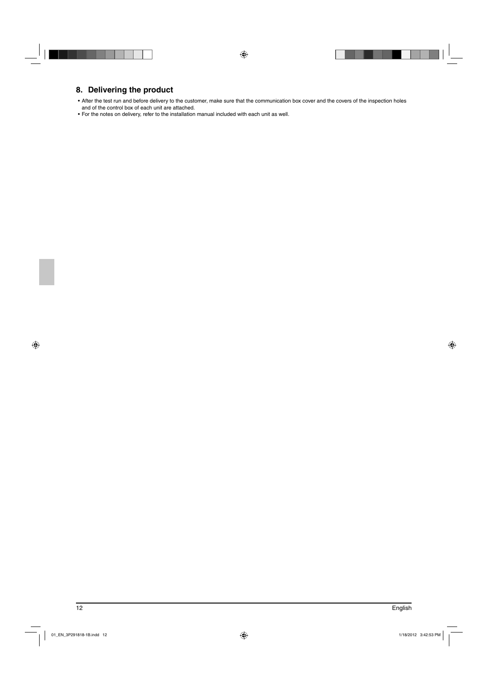## **8. Delivering the product**

• After the test run and before delivery to the customer, make sure that the communication box cover and the covers of the inspection holes and of the control box of each unit are attached.

• For the notes on delivery, refer to the installation manual included with each unit as well.